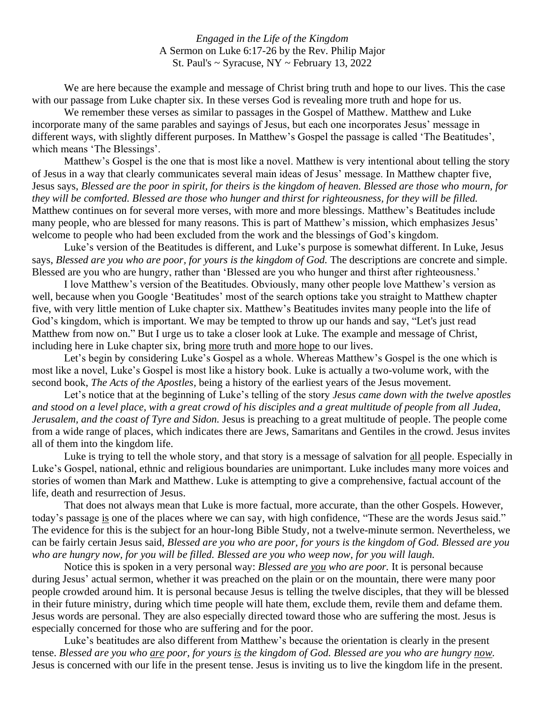*Engaged in the Life of the Kingdom* A Sermon on Luke 6:17-26 by the Rev. Philip Major St. Paul's ~ Syracuse, NY ~ February 13, 2022

We are here because the example and message of Christ bring truth and hope to our lives. This the case with our passage from Luke chapter six. In these verses God is revealing more truth and hope for us.

We remember these verses as similar to passages in the Gospel of Matthew. Matthew and Luke incorporate many of the same parables and sayings of Jesus, but each one incorporates Jesus' message in different ways, with slightly different purposes. In Matthew's Gospel the passage is called 'The Beatitudes', which means 'The Blessings'.

Matthew's Gospel is the one that is most like a novel. Matthew is very intentional about telling the story of Jesus in a way that clearly communicates several main ideas of Jesus' message. In Matthew chapter five, Jesus says, *Blessed are the poor in spirit, for theirs is the kingdom of heaven. Blessed are those who mourn, for they will be comforted. Blessed are those who hunger and thirst for righteousness, for they will be filled.*  Matthew continues on for several more verses, with more and more blessings. Matthew's Beatitudes include many people, who are blessed for many reasons. This is part of Matthew's mission, which emphasizes Jesus' welcome to people who had been excluded from the work and the blessings of God's kingdom.

Luke's version of the Beatitudes is different, and Luke's purpose is somewhat different. In Luke, Jesus says, *Blessed are you who are poor, for yours is the kingdom of God.* The descriptions are concrete and simple. Blessed are you who are hungry, rather than 'Blessed are you who hunger and thirst after righteousness.'

I love Matthew's version of the Beatitudes. Obviously, many other people love Matthew's version as well, because when you Google 'Beatitudes' most of the search options take you straight to Matthew chapter five, with very little mention of Luke chapter six. Matthew's Beatitudes invites many people into the life of God's kingdom, which is important. We may be tempted to throw up our hands and say, "Let's just read Matthew from now on." But I urge us to take a closer look at Luke. The example and message of Christ, including here in Luke chapter six, bring more truth and more hope to our lives.

Let's begin by considering Luke's Gospel as a whole. Whereas Matthew's Gospel is the one which is most like a novel, Luke's Gospel is most like a history book. Luke is actually a two-volume work, with the second book, *The Acts of the Apostles,* being a history of the earliest years of the Jesus movement.

Let's notice that at the beginning of Luke's telling of the story *Jesus came down with the twelve apostles and stood on a level place, with a great crowd of his disciples and a great multitude of people from all Judea, Jerusalem, and the coast of Tyre and Sidon.* Jesus is preaching to a great multitude of people. The people come from a wide range of places, which indicates there are Jews, Samaritans and Gentiles in the crowd. Jesus invites all of them into the kingdom life.

Luke is trying to tell the whole story, and that story is a message of salvation for all people. Especially in Luke's Gospel, national, ethnic and religious boundaries are unimportant. Luke includes many more voices and stories of women than Mark and Matthew. Luke is attempting to give a comprehensive, factual account of the life, death and resurrection of Jesus.

That does not always mean that Luke is more factual, more accurate, than the other Gospels. However, today's passage is one of the places where we can say, with high confidence, "These are the words Jesus said." The evidence for this is the subject for an hour-long Bible Study, not a twelve-minute sermon. Nevertheless, we can be fairly certain Jesus said, *Blessed are you who are poor, for yours is the kingdom of God. Blessed are you who are hungry now, for you will be filled. Blessed are you who weep now, for you will laugh.*

Notice this is spoken in a very personal way: *Blessed are you who are poor.* It is personal because during Jesus' actual sermon, whether it was preached on the plain or on the mountain, there were many poor people crowded around him. It is personal because Jesus is telling the twelve disciples, that they will be blessed in their future ministry, during which time people will hate them, exclude them, revile them and defame them. Jesus words are personal. They are also especially directed toward those who are suffering the most. Jesus is especially concerned for those who are suffering and for the poor.

Luke's beatitudes are also different from Matthew's because the orientation is clearly in the present tense. *Blessed are you who are poor, for yours is the kingdom of God. Blessed are you who are hungry now.*  Jesus is concerned with our life in the present tense. Jesus is inviting us to live the kingdom life in the present.